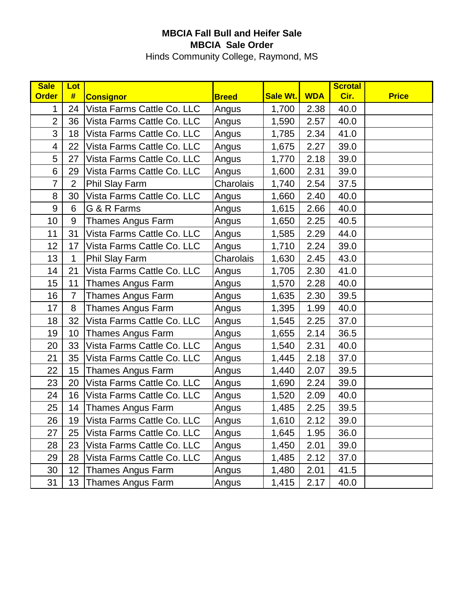## **MBCIA Fall Bull and Heifer Sale MBCIA Sale Order**

Hinds Community College, Raymond, MS

| <b>Sale</b>    | Lot            |                            |              |                 |            | <b>Scrotal</b> |              |
|----------------|----------------|----------------------------|--------------|-----------------|------------|----------------|--------------|
| <b>Order</b>   | #              | <b>Consignor</b>           | <b>Breed</b> | <b>Sale Wt.</b> | <b>WDA</b> | Cir.           | <b>Price</b> |
| 1              | 24             | Vista Farms Cattle Co. LLC | Angus        | 1,700           | 2.38       | 40.0           |              |
| $\overline{2}$ | 36             | Vista Farms Cattle Co. LLC | Angus        | 1,590           | 2.57       | 40.0           |              |
| 3              | 18             | Vista Farms Cattle Co. LLC | Angus        | 1,785           | 2.34       | 41.0           |              |
| $\overline{4}$ | 22             | Vista Farms Cattle Co. LLC | Angus        | 1,675           | 2.27       | 39.0           |              |
| 5              | 27             | Vista Farms Cattle Co. LLC | Angus        | 1,770           | 2.18       | 39.0           |              |
| 6              | 29             | Vista Farms Cattle Co. LLC | Angus        | 1,600           | 2.31       | 39.0           |              |
| $\overline{7}$ | $\overline{2}$ | Phil Slay Farm             | Charolais    | 1,740           | 2.54       | 37.5           |              |
| 8              | 30             | Vista Farms Cattle Co. LLC | Angus        | 1,660           | 2.40       | 40.0           |              |
| 9              | 6              | G & R Farms                | Angus        | 1,615           | 2.66       | 40.0           |              |
| 10             | 9              | Thames Angus Farm          | Angus        | 1,650           | 2.25       | 40.5           |              |
| 11             | 31             | Vista Farms Cattle Co. LLC | Angus        | 1,585           | 2.29       | 44.0           |              |
| 12             | 17             | Vista Farms Cattle Co. LLC | Angus        | 1,710           | 2.24       | 39.0           |              |
| 13             | 1              | <b>Phil Slay Farm</b>      | Charolais    | 1,630           | 2.45       | 43.0           |              |
| 14             | 21             | Vista Farms Cattle Co. LLC | Angus        | 1,705           | 2.30       | 41.0           |              |
| 15             | 11             | <b>Thames Angus Farm</b>   | Angus        | 1,570           | 2.28       | 40.0           |              |
| 16             | $\overline{7}$ | <b>Thames Angus Farm</b>   | Angus        | 1,635           | 2.30       | 39.5           |              |
| 17             | 8              | Thames Angus Farm          | Angus        | 1,395           | 1.99       | 40.0           |              |
| 18             | 32             | Vista Farms Cattle Co. LLC | Angus        | 1,545           | 2.25       | 37.0           |              |
| 19             | 10             | <b>Thames Angus Farm</b>   | Angus        | 1,655           | 2.14       | 36.5           |              |
| 20             | 33             | Vista Farms Cattle Co. LLC | Angus        | 1,540           | 2.31       | 40.0           |              |
| 21             | 35             | Vista Farms Cattle Co. LLC | Angus        | 1,445           | 2.18       | 37.0           |              |
| 22             | 15             | <b>Thames Angus Farm</b>   | Angus        | 1,440           | 2.07       | 39.5           |              |
| 23             | 20             | Vista Farms Cattle Co. LLC | Angus        | 1,690           | 2.24       | 39.0           |              |
| 24             | 16             | Vista Farms Cattle Co. LLC | Angus        | 1,520           | 2.09       | 40.0           |              |
| 25             | 14             | <b>Thames Angus Farm</b>   | Angus        | 1,485           | 2.25       | 39.5           |              |
| 26             | 19             | Vista Farms Cattle Co. LLC | Angus        | 1,610           | 2.12       | 39.0           |              |
| 27             | 25             | Vista Farms Cattle Co. LLC | Angus        | 1,645           | 1.95       | 36.0           |              |
| 28             | 23             | Vista Farms Cattle Co. LLC | Angus        | 1,450           | 2.01       | 39.0           |              |
| 29             | 28             | Vista Farms Cattle Co. LLC | Angus        | 1,485           | 2.12       | 37.0           |              |
| 30             | 12             | Thames Angus Farm          | Angus        | 1,480           | 2.01       | 41.5           |              |
| 31             | 13             | <b>Thames Angus Farm</b>   | Angus        | 1,415           | 2.17       | 40.0           |              |